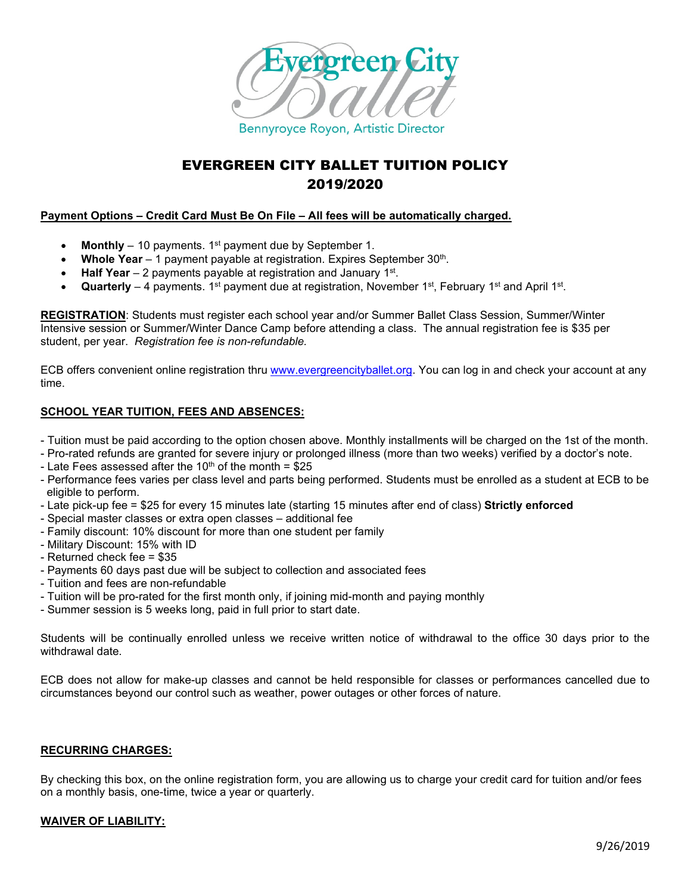

# EVERGREEN CITY BALLET TUITION POLICY 2019/2020

# **Payment Options – Credit Card Must Be On File – All fees will be automatically charged.**

- **Monthly** 10 payments. 1<sup>st</sup> payment due by September 1.
- **Whole Year** 1 payment payable at registration. Expires September 30<sup>th</sup>.
- **Half Year**  2 payments payable at registration and January 1st.
- **Quarterly**  4 payments. 1st payment due at registration, November 1st, February 1st and April 1st.

**REGISTRATION**: Students must register each school year and/or Summer Ballet Class Session, Summer/Winter Intensive session or Summer/Winter Dance Camp before attending a class. The annual registration fee is \$35 per student, per year. *Registration fee is non-refundable.*

ECB offers convenient online registration thru [www.evergreencityballet.org.](http://www.evergreencityballet.org/) You can log in and check your account at any time.

# **SCHOOL YEAR TUITION, FEES AND ABSENCES:**

- Tuition must be paid according to the option chosen above. Monthly installments will be charged on the 1st of the month.

- Pro-rated refunds are granted for severe injury or prolonged illness (more than two weeks) verified by a doctor's note.
- Late Fees assessed after the 10<sup>th</sup> of the month =  $$25$
- Performance fees varies per class level and parts being performed. Students must be enrolled as a student at ECB to be eligible to perform.
- Late pick-up fee = \$25 for every 15 minutes late (starting 15 minutes after end of class) **Strictly enforced**
- Special master classes or extra open classes additional fee
- Family discount: 10% discount for more than one student per family
- Military Discount: 15% with ID
- Returned check fee = \$35
- Payments 60 days past due will be subject to collection and associated fees
- Tuition and fees are non-refundable
- Tuition will be pro-rated for the first month only, if joining mid-month and paying monthly
- Summer session is 5 weeks long, paid in full prior to start date.

Students will be continually enrolled unless we receive written notice of withdrawal to the office 30 days prior to the withdrawal date.

ECB does not allow for make-up classes and cannot be held responsible for classes or performances cancelled due to circumstances beyond our control such as weather, power outages or other forces of nature.

#### **RECURRING CHARGES:**

By checking this box, on the online registration form, you are allowing us to charge your credit card for tuition and/or fees on a monthly basis, one-time, twice a year or quarterly.

#### **WAIVER OF LIABILITY:**